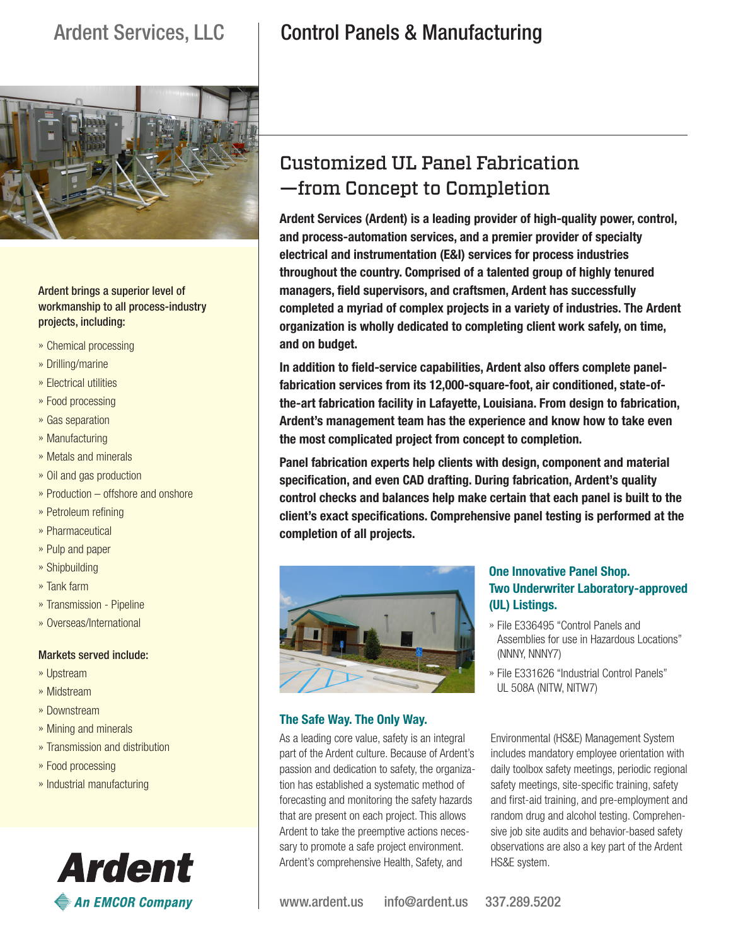

Ardent brings a superior level of workmanship to all process-industry projects, including:

- »» Chemical processing
- »» Drilling/marine
- »» Electrical utilities
- »» Food processing
- »» Gas separation
- »» Manufacturing
- »» Metals and minerals
- »» Oil and gas production
- »» Production offshore and onshore
- »» Petroleum refining
- »» Pharmaceutical
- »» Pulp and paper
- »» Shipbuilding
- »» Tank farm
- »» Transmission Pipeline
- »» Overseas/International

#### Markets served include:

- »» Upstream
- »» Midstream
- »» Downstream
- »» Mining and minerals
- »» Transmission and distribution
- »» Food processing
- »» Industrial manufacturing



# Ardent Services, LLC | Control Panels & Manufacturing

# Customized UL Panel Fabrication —from Concept to Completion

**Ardent Services (Ardent) is a leading provider of high-quality power, control, and process-automation services, and a premier provider of specialty electrical and instrumentation (E&I) services for process industries throughout the country. Comprised of a talented group of highly tenured managers, field supervisors, and craftsmen, Ardent has successfully completed a myriad of complex projects in a variety of industries. The Ardent organization is wholly dedicated to completing client work safely, on time, and on budget.** 

**In addition to field-service capabilities, Ardent also offers complete panelfabrication services from its 12,000-square-foot, air conditioned, state-ofthe-art fabrication facility in Lafayette, Louisiana. From design to fabrication, Ardent's management team has the experience and know how to take even the most complicated project from concept to completion.** 

**Panel fabrication experts help clients with design, component and material specification, and even CAD drafting. During fabrication, Ardent's quality control checks and balances help make certain that each panel is built to the client's exact specifications. Comprehensive panel testing is performed at the completion of all projects.** 



### **The Safe Way. The Only Way.**

As a leading core value, safety is an integral part of the Ardent culture. Because of Ardent's passion and dedication to safety, the organization has established a systematic method of forecasting and monitoring the safety hazards that are present on each project. This allows Ardent to take the preemptive actions necessary to promote a safe project environment. Ardent's comprehensive Health, Safety, and

### **One Innovative Panel Shop. Two Underwriter Laboratory-approved (UL) Listings.**

- »» File E336495 "Control Panels and Assemblies for use in Hazardous Locations" (NNNY, NNNY7)
- »» File E331626 "Industrial Control Panels" UL 508A (NITW, NITW7)

Environmental (HS&E) Management System includes mandatory employee orientation with daily toolbox safety meetings, periodic regional safety meetings, site-specific training, safety and first-aid training, and pre-employment and random drug and alcohol testing. Comprehensive job site audits and behavior-based safety observations are also a key part of the Ardent HS&E system.